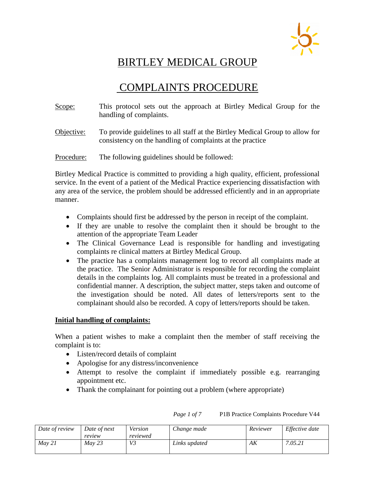

## BIRTLEY MEDICAL GROUP

# COMPLAINTS PROCEDURE

- Scope: This protocol sets out the approach at Birtley Medical Group for the handling of complaints.
- Objective: To provide guidelines to all staff at the Birtley Medical Group to allow for consistency on the handling of complaints at the practice

Procedure: The following guidelines should be followed:

Birtley Medical Practice is committed to providing a high quality, efficient, professional service. In the event of a patient of the Medical Practice experiencing dissatisfaction with any area of the service, the problem should be addressed efficiently and in an appropriate manner.

- Complaints should first be addressed by the person in receipt of the complaint.
- If they are unable to resolve the complaint then it should be brought to the attention of the appropriate Team Leader
- The Clinical Governance Lead is responsible for handling and investigating complaints re clinical matters at Birtley Medical Group.
- The practice has a complaints management log to record all complaints made at the practice. The Senior Administrator is responsible for recording the complaint details in the complaints log. All complaints must be treated in a professional and confidential manner. A description, the subject matter, steps taken and outcome of the investigation should be noted. All dates of letters/reports sent to the complainant should also be recorded. A copy of letters/reports should be taken.

## **Initial handling of complaints:**

When a patient wishes to make a complaint then the member of staff receiving the complaint is to:

- Listen/record details of complaint
- Apologise for any distress/inconvenience
- Attempt to resolve the complaint if immediately possible e.g. rearranging appointment etc.
- Thank the complainant for pointing out a problem (where appropriate)

| Date of review | Date of next | Version  | Change made   | Reviewer | Effective date |
|----------------|--------------|----------|---------------|----------|----------------|
|                | review       | reviewed |               |          |                |
| Mav 21         | May 23       | V3       | Links updated | АK       | 7.05.21        |

#### *Page 1 of 7* P1B Practice Complaints Procedure V44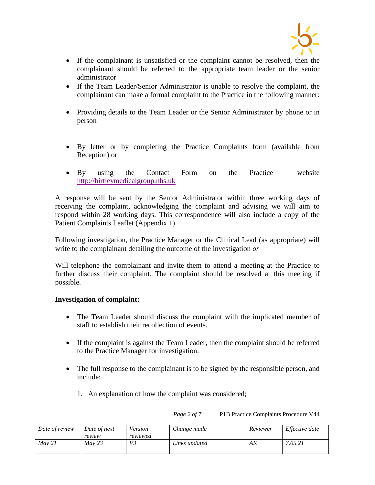

- If the complainant is unsatisfied or the complaint cannot be resolved, then the complainant should be referred to the appropriate team leader or the senior administrator
- If the Team Leader/Senior Administrator is unable to resolve the complaint, the complainant can make a formal complaint to the Practice in the following manner:
- Providing details to the Team Leader or the Senior Administrator by phone or in person
- By letter or by completing the Practice Complaints form (available from Reception) or
- By using the Contact Form on the Practice website [http://birtleymedicalgroup.nhs.uk](http://birtleymedicalgroup.nhs.uk/)

A response will be sent by the Senior Administrator within three working days of receiving the complaint, acknowledging the complaint and advising we will aim to respond within 28 working days. This correspondence will also include a copy of the Patient Complaints Leaflet (Appendix 1)

Following investigation, the Practice Manager or the Clinical Lead (as appropriate) will write to the complainant detailing the outcome of the investigation *or*

Will telephone the complainant and invite them to attend a meeting at the Practice to further discuss their complaint. The complaint should be resolved at this meeting if possible.

## **Investigation of complaint:**

- The Team Leader should discuss the complaint with the implicated member of staff to establish their recollection of events.
- If the complaint is against the Team Leader, then the complaint should be referred to the Practice Manager for investigation.
- The full response to the complainant is to be signed by the responsible person, and include:
	- 1. An explanation of how the complaint was considered;

*Page 2 of 7* P1B Practice Complaints Procedure V44

| Date of review | Date of next | Version  | Change made   | Reviewer | Effective date |
|----------------|--------------|----------|---------------|----------|----------------|
|                | review       | reviewed |               |          |                |
| Mav 21         | Mav 23       | V3       | Links updated | АK       | 7.05.21        |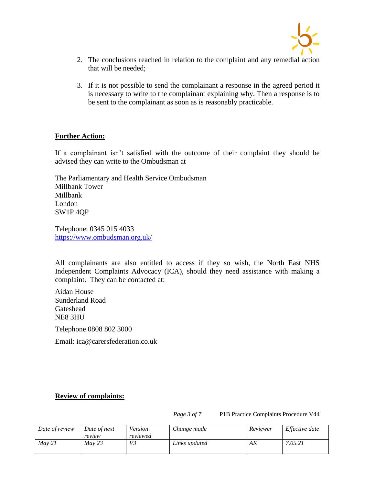

- 2. The conclusions reached in relation to the complaint and any remedial action that will be needed;
- 3. If it is not possible to send the complainant a response in the agreed period it is necessary to write to the complainant explaining why. Then a response is to be sent to the complainant as soon as is reasonably practicable.

#### **Further Action:**

If a complainant isn't satisfied with the outcome of their complaint they should be advised they can write to the Ombudsman at

The Parliamentary and Health Service Ombudsman Millbank Tower Millbank London SW1P 4QP

Telephone: 0345 015 4033 <https://www.ombudsman.org.uk/>

All complainants are also entitled to access if they so wish, the North East NHS Independent Complaints Advocacy (ICA), should they need assistance with making a complaint. They can be contacted at:

Aidan House Sunderland Road Gateshead NE8 3HU

Telephone 0808 802 3000

Email: [ica@carersfederation.co.uk](mailto:ica@carersfederation.co.uk)

## **Review of complaints:**

*Page 3 of 7* P1B Practice Complaints Procedure V44

| Date of review | Date of next | Version  | Change made   | Reviewer | Effective date |
|----------------|--------------|----------|---------------|----------|----------------|
|                | review       | reviewed |               |          |                |
| Mav 21         | Mav 23       | V3       | Links updated | АK       | 7.05.21        |
|                |              |          |               |          |                |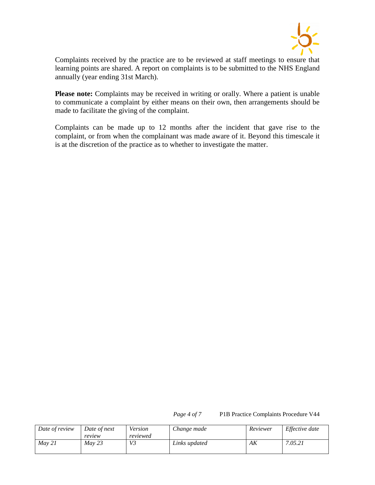

Complaints received by the practice are to be reviewed at staff meetings to ensure that learning points are shared. A report on complaints is to be submitted to the NHS England annually (year ending 31st March).

**Please note:** Complaints may be received in writing or orally. Where a patient is unable to communicate a complaint by either means on their own, then arrangements should be made to facilitate the giving of the complaint.

Complaints can be made up to 12 months after the incident that gave rise to the complaint, or from when the complainant was made aware of it. Beyond this timescale it is at the discretion of the practice as to whether to investigate the matter.

*Page 4 of 7* P1B Practice Complaints Procedure V44

| Date of review | Date of next | Version  | Change made   | Reviewer | Effective date |
|----------------|--------------|----------|---------------|----------|----------------|
|                | review       | reviewed |               |          |                |
| Mav 21         | Mav 23       | V3       | Links updated | АK       | 7.05.21        |
|                |              |          |               |          |                |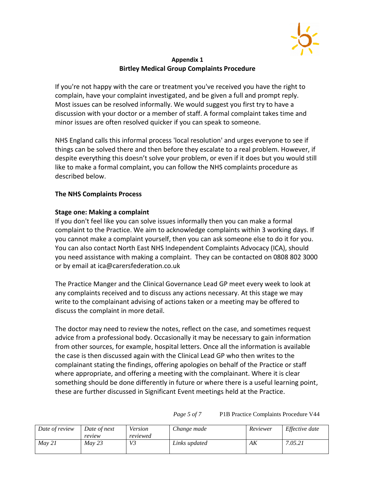

#### **Appendix 1 Birtley Medical Group Complaints Procedure**

If you're not happy with the care or treatment you've received you have the right to complain, have your complaint investigated, and be given a full and prompt reply. Most issues can be resolved informally. We would suggest you first try to have a discussion with your doctor or a member of staff. A formal complaint takes time and minor issues are often resolved quicker if you can speak to someone.

NHS England calls this informal process 'local resolution' and urges everyone to see if things can be solved there and then before they escalate to a real problem. However, if despite everything this doesn't solve your problem, or even if it does but you would still like to make a formal complaint, you can follow the NHS complaints procedure as described below.

#### **The NHS Complaints Process**

#### **Stage one: Making a complaint**

If you don't feel like you can solve issues informally then you can make a formal complaint to the Practice. We aim to acknowledge complaints within 3 working days. If you cannot make a complaint yourself, then you can ask someone else to do it for you. You can also contact North East NHS Independent Complaints Advocacy (ICA), should you need assistance with making a complaint. They can be contacted on 0808 802 3000 or by email at [ica@carersfederation.co.uk](mailto:ica@carersfederation.co.uk)

The Practice Manger and the Clinical Governance Lead GP meet every week to look at any complaints received and to discuss any actions necessary. At this stage we may write to the complainant advising of actions taken or a meeting may be offered to discuss the complaint in more detail.

The doctor may need to review the notes, reflect on the case, and sometimes request advice from a professional body. Occasionally it may be necessary to gain information from other sources, for example, hospital letters. Once all the information is available the case is then discussed again with the Clinical Lead GP who then writes to the complainant stating the findings, offering apologies on behalf of the Practice or staff where appropriate, and offering a meeting with the complainant. Where it is clear something should be done differently in future or where there is a useful learning point, these are further discussed in Significant Event meetings held at the Practice.

| Date of review | Date of next<br>review | Version<br>reviewed | Change made   | Reviewer | Effective date |
|----------------|------------------------|---------------------|---------------|----------|----------------|
| Mav 21         | Mav 23                 | V3                  | Links updated | АK       | 7.05.21        |

*Page 5 of 7* P1B Practice Complaints Procedure V44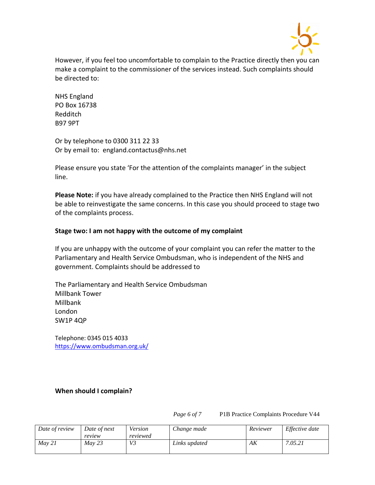

However, if you feel too uncomfortable to complain to the Practice directly then you can make a complaint to the commissioner of the services instead. Such complaints should be directed to:

NHS England PO Box 16738 Redditch B97 9PT

Or by telephone to 0300 311 22 33 Or by email to: [england.contactus@nhs.net](mailto:england.contactus@nhs.net)

Please ensure you state 'For the attention of the complaints manager' in the subject line.

**Please Note:** if you have already complained to the Practice then NHS England will not be able to reinvestigate the same concerns. In this case you should proceed to [stage two](http://www.nhs.uk/choiceintheNHS/Rightsandpledges/complaints/Pages/NHScomplaints.aspx#stage2)  [of the complaints process.](http://www.nhs.uk/choiceintheNHS/Rightsandpledges/complaints/Pages/NHScomplaints.aspx#stage2)

## **Stage two: I am not happy with the outcome of my complaint**

If you are unhappy with the outcome of your complaint you can refer the matter to the Parliamentary and Health Service Ombudsman, who is independent of the NHS and government. Complaints should be addressed to

The Parliamentary and Health Service Ombudsman Millbank Tower Millbank London SW1P 4QP

Telephone: 0345 015 4033 <https://www.ombudsman.org.uk/>

## **When should I complain?**

*Page 6 of 7* P1B Practice Complaints Procedure V44

| Date of review | Date of next<br>review | Version<br>reviewed | Change made   | Reviewer | Effective date |
|----------------|------------------------|---------------------|---------------|----------|----------------|
| Mav 21         | Mav 23                 | V <sub>3</sub>      | Links updated | АK       | 7.05.21        |